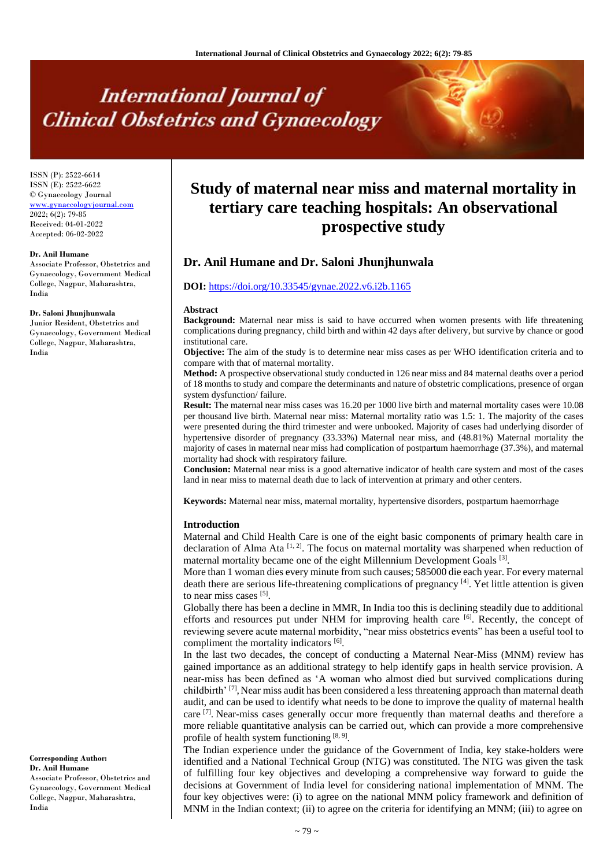# **International Journal of Clinical Obstetrics and Gynaecology**

ISSN (P): 2522-6614 ISSN (E): 2522-6622 © Gynaecology Journal <www.gynaecologyjournal.com> 2022; 6(2): 79-85 Received: 04-01-2022 Accepted: 06-02-2022

#### **Dr. Anil Humane**

Associate Professor, Obstetrics and Gynaecology, Government Medical College, Nagpur, Maharashtra, India

#### **Dr. Saloni Jhunjhunwala**

Junior Resident, Obstetrics and Gynaecology, Government Medical College, Nagpur, Maharashtra, India

#### **Corresponding Author: Dr. Anil Humane**

Associate Professor, Obstetrics and Gynaecology, Government Medical College, Nagpur, Maharashtra, India

# **Study of maternal near miss and maternal mortality in tertiary care teaching hospitals: An observational prospective study**

# **Dr. Anil Humane and Dr. Saloni Jhunjhunwala**

# **DOI:** <https://doi.org/10.33545/gynae.2022.v6.i2b.1165>

#### **Abstract**

**Background:** Maternal near miss is said to have occurred when women presents with life threatening complications during pregnancy, child birth and within 42 days after delivery, but survive by chance or good institutional care.

**Objective:** The aim of the study is to determine near miss cases as per WHO identification criteria and to compare with that of maternal mortality.

**Method:** A prospective observational study conducted in 126 near miss and 84 maternal deaths over a period of 18 months to study and compare the determinants and nature of obstetric complications, presence of organ system dysfunction/ failure.

**Result:** The maternal near miss cases was 16.20 per 1000 live birth and maternal mortality cases were 10.08 per thousand live birth. Maternal near miss: Maternal mortality ratio was 1.5: 1. The majority of the cases were presented during the third trimester and were unbooked. Majority of cases had underlying disorder of hypertensive disorder of pregnancy (33.33%) Maternal near miss, and (48.81%) Maternal mortality the majority of cases in maternal near miss had complication of postpartum haemorrhage (37.3%), and maternal mortality had shock with respiratory failure.

**Conclusion:** Maternal near miss is a good alternative indicator of health care system and most of the cases land in near miss to maternal death due to lack of intervention at primary and other centers.

**Keywords:** Maternal near miss, maternal mortality, hypertensive disorders, postpartum haemorrhage

#### **Introduction**

Maternal and Child Health Care is one of the eight basic components of primary health care in declaration of Alma Ata  $[1, 2]$ . The focus on maternal mortality was sharpened when reduction of maternal mortality became one of the eight Millennium Development Goals [3].

More than 1 woman dies every minute from such causes; 585000 die each year. For every maternal death there are serious life-threatening complications of pregnancy [4]. Yet little attention is given to near miss cases [5].

Globally there has been a decline in MMR, In India too this is declining steadily due to additional efforts and resources put under NHM for improving health care [6]. Recently, the concept of reviewing severe acute maternal morbidity, "near miss obstetrics events" has been a useful tool to compliment the mortality indicators [6].

In the last two decades, the concept of conducting a Maternal Near-Miss (MNM) review has gained importance as an additional strategy to help identify gaps in health service provision. A near-miss has been defined as 'A woman who almost died but survived complications during childbirth'<sup>[7]</sup>, Near miss audit has been considered a less threatening approach than maternal death audit, and can be used to identify what needs to be done to improve the quality of maternal health care  $[7]$ . Near-miss cases generally occur more frequently than maternal deaths and therefore a more reliable quantitative analysis can be carried out, which can provide a more comprehensive profile of health system functioning  $[8, 9]$ .

The Indian experience under the guidance of the Government of India, key stake-holders were identified and a National Technical Group (NTG) was constituted. The NTG was given the task of fulfilling four key objectives and developing a comprehensive way forward to guide the decisions at Government of India level for considering national implementation of MNM. The four key objectives were: (i) to agree on the national MNM policy framework and definition of MNM in the Indian context; (ii) to agree on the criteria for identifying an MNM; (iii) to agree on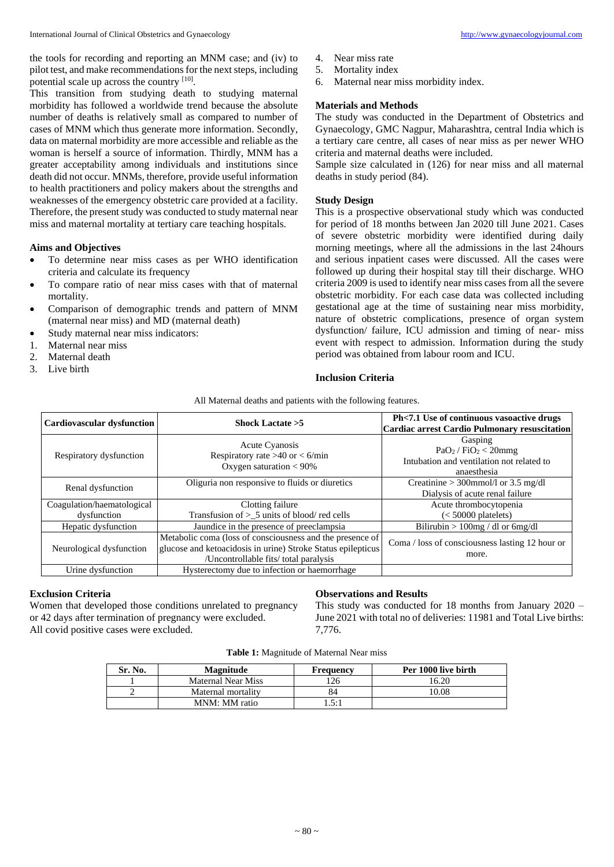the tools for recording and reporting an MNM case; and (iv) to pilot test, and make recommendations for the next steps, including potential scale up across the country [10].

This transition from studying death to studying maternal morbidity has followed a worldwide trend because the absolute number of deaths is relatively small as compared to number of cases of MNM which thus generate more information. Secondly, data on maternal morbidity are more accessible and reliable as the woman is herself a source of information. Thirdly, MNM has a greater acceptability among individuals and institutions since death did not occur. MNMs, therefore, provide useful information to health practitioners and policy makers about the strengths and weaknesses of the emergency obstetric care provided at a facility. Therefore, the present study was conducted to study maternal near miss and maternal mortality at tertiary care teaching hospitals.

# **Aims and Objectives**

- To determine near miss cases as per WHO identification criteria and calculate its frequency
- To compare ratio of near miss cases with that of maternal mortality.
- Comparison of demographic trends and pattern of MNM (maternal near miss) and MD (maternal death)
- Study maternal near miss indicators:
- 1. Maternal near miss
- 2. Maternal death
- 3. Live birth
- 4. Near miss rate
- 5. Mortality index
- 6. Maternal near miss morbidity index.

#### **Materials and Methods**

The study was conducted in the Department of Obstetrics and Gynaecology, GMC Nagpur, Maharashtra, central India which is a tertiary care centre, all cases of near miss as per newer WHO criteria and maternal deaths were included.

Sample size calculated in (126) for near miss and all maternal deaths in study period (84).

# **Study Design**

This is a prospective observational study which was conducted for period of 18 months between Jan 2020 till June 2021. Cases of severe obstetric morbidity were identified during daily morning meetings, where all the admissions in the last 24hours and serious inpatient cases were discussed. All the cases were followed up during their hospital stay till their discharge. WHO criteria 2009 is used to identify near miss cases from all the severe obstetric morbidity. For each case data was collected including gestational age at the time of sustaining near miss morbidity, nature of obstetric complications, presence of organ system dysfunction/ failure, ICU admission and timing of near- miss event with respect to admission. Information during the study period was obtained from labour room and ICU.

# **Inclusion Criteria**

All Maternal deaths and patients with the following features.

| <b>Cardiovascular dysfunction</b>         | Shock Lactate $>5$                                                                                                                                                 | Ph<7.1 Use of continuous vasoactive drugs<br><b>Cardiac arrest Cardio Pulmonary resuscitation</b> |
|-------------------------------------------|--------------------------------------------------------------------------------------------------------------------------------------------------------------------|---------------------------------------------------------------------------------------------------|
| Respiratory dysfunction                   | <b>Acute Cyanosis</b><br>Respiratory rate >40 or < 6/min<br>Oxygen saturation $< 90\%$                                                                             | Gasping<br>$PaO2$ / $FiO2 < 20$ mmg<br>Intubation and ventilation not related to<br>anaesthesia   |
| Renal dysfunction                         | Oliguria non responsive to fluids or diuretics                                                                                                                     | Creatinine $>$ 300mmol/l or 3.5 mg/dl<br>Dialysis of acute renal failure                          |
| Coagulation/haematological<br>dysfunction | Clotting failure<br>Transfusion of $>$ _5 units of blood/red cells                                                                                                 | Acute thrombocytopenia<br>$(< 50000$ platelets)                                                   |
| Hepatic dysfunction                       | Jaundice in the presence of preeclampsia                                                                                                                           | Bilirubin $> 100$ mg / dl or 6mg/dl                                                               |
| Neurological dysfunction                  | Metabolic coma (loss of consciousness and the presence of<br>glucose and ketoacidosis in urine) Stroke Status epilepticus<br>/Uncontrollable fits/ total paralysis | Coma / loss of consciousness lasting 12 hour or<br>more.                                          |
| Urine dysfunction                         | Hysterectomy due to infection or haemorrhage                                                                                                                       |                                                                                                   |

# **Exclusion Criteria**

Women that developed those conditions unrelated to pregnancy or 42 days after termination of pregnancy were excluded. All covid positive cases were excluded.

# **Observations and Results**

This study was conducted for 18 months from January 2020 – June 2021 with total no of deliveries: 11981 and Total Live births: 7,776.

|  |  | Table 1: Magnitude of Maternal Near miss |  |  |  |  |
|--|--|------------------------------------------|--|--|--|--|
|--|--|------------------------------------------|--|--|--|--|

| Sr. No. | Magnitude                 | Frequency | Per 1000 live birth |
|---------|---------------------------|-----------|---------------------|
|         | <b>Maternal Near Miss</b> | 26        | 16.20               |
|         | Maternal mortality        | 84        | 10.08               |
|         | MNM: MM ratio             | l.5:1     |                     |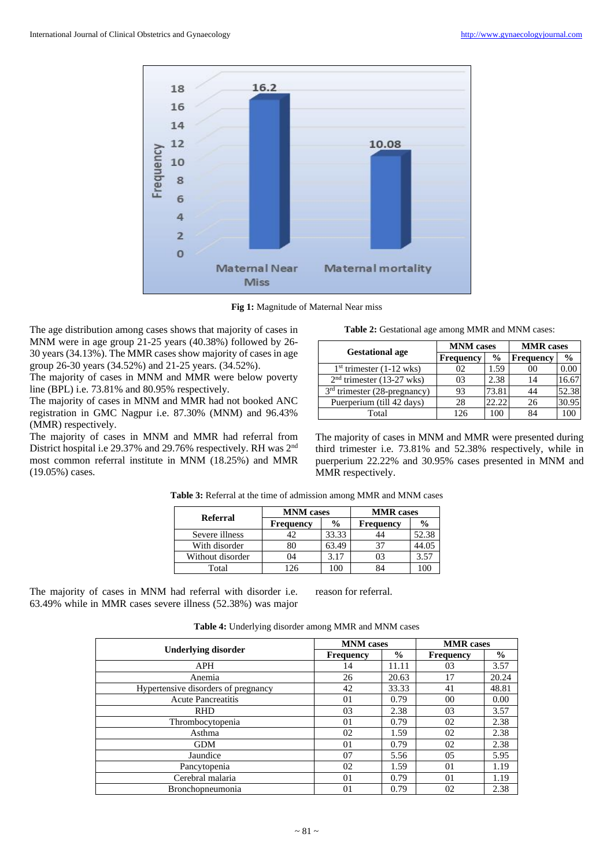

**Fig 1:** Magnitude of Maternal Near miss

The age distribution among cases shows that majority of cases in MNM were in age group 21-25 years (40.38%) followed by 26- 30 years (34.13%). The MMR cases show majority of cases in age group 26-30 years (34.52%) and 21-25 years. (34.52%).

The majority of cases in MNM and MMR were below poverty line (BPL) i.e. 73.81% and 80.95% respectively.

The majority of cases in MNM and MMR had not booked ANC registration in GMC Nagpur i.e. 87.30% (MNM) and 96.43% (MMR) respectively.

The majority of cases in MNM and MMR had referral from District hospital i.e 29.37% and 29.76% respectively. RH was 2nd most common referral institute in MNM (18.25%) and MMR (19.05%) cases.

| Table 2: Gestational age among MMR and MNM cases: |  |  |
|---------------------------------------------------|--|--|
|                                                   |  |  |

|                                | <b>MNM</b> cases |               | <b>MMR</b> cases |               |
|--------------------------------|------------------|---------------|------------------|---------------|
| <b>Gestational age</b>         | <b>Frequency</b> | $\frac{6}{9}$ | <b>Frequency</b> | $\frac{0}{0}$ |
| $1st$ trimester (1-12 wks)     | 02               | 1.59          | oο               | 0.00          |
| $2nd$ trimester (13-27 wks)    | 03               | 2.38          | 14               | 16.67         |
| $3rd$ trimester (28-pregnancy) | 93               | 73.81         | 44               | 52.38         |
| Puerperium (till 42 days)      | 28               | 22.22         | 26               | 30.95         |
| Total                          | 126              | 100           |                  |               |

The majority of cases in MNM and MMR were presented during third trimester i.e. 73.81% and 52.38% respectively, while in puerperium 22.22% and 30.95% cases presented in MNM and MMR respectively.

| <b>Referral</b>  | <b>MNM</b> cases |               | <b>MMR</b> cases |               |  |
|------------------|------------------|---------------|------------------|---------------|--|
|                  | <b>Frequency</b> | $\frac{0}{0}$ | <b>Frequency</b> | $\frac{6}{9}$ |  |
| Severe illness   |                  | 33.33         |                  | 52.38         |  |
| With disorder    | 80               | 63.49         |                  | 44.05         |  |
| Without disorder | 04               | 3.17          |                  | 3.57          |  |
| Total            |                  |               |                  |               |  |

**Table 3:** Referral at the time of admission among MMR and MNM cases

The majority of cases in MNM had referral with disorder i.e. 63.49% while in MMR cases severe illness (52.38%) was major

reason for referral.

|                                     | <b>MNM</b> cases |               | <b>MMR</b> cases |               |
|-------------------------------------|------------------|---------------|------------------|---------------|
| <b>Underlying disorder</b>          | <b>Frequency</b> | $\frac{0}{0}$ | <b>Frequency</b> | $\frac{0}{0}$ |
| <b>APH</b>                          | 14               | 11.11         | 03               | 3.57          |
| Anemia                              | 26               | 20.63         | 17               | 20.24         |
| Hypertensive disorders of pregnancy | 42               | 33.33         | 41               | 48.81         |
| <b>Acute Pancreatitis</b>           | 01               | 0.79          | $00\,$           | 0.00          |
| <b>RHD</b>                          | 03               | 2.38          | 03               | 3.57          |
| Thrombocytopenia                    | 01               | 0.79          | 02               | 2.38          |
| Asthma                              | 02               | 1.59          | 02               | 2.38          |
| <b>GDM</b>                          | 01               | 0.79          | 02               | 2.38          |
| Jaundice                            | 07               | 5.56          | 05               | 5.95          |
| Pancytopenia                        | 02               | 1.59          | 01               | 1.19          |
| Cerebral malaria                    | 01               | 0.79          | 01               | 1.19          |
| <b>Bronchopneumonia</b>             | 01               | 0.79          | 02               | 2.38          |

**Table 4:** Underlying disorder among MMR and MNM cases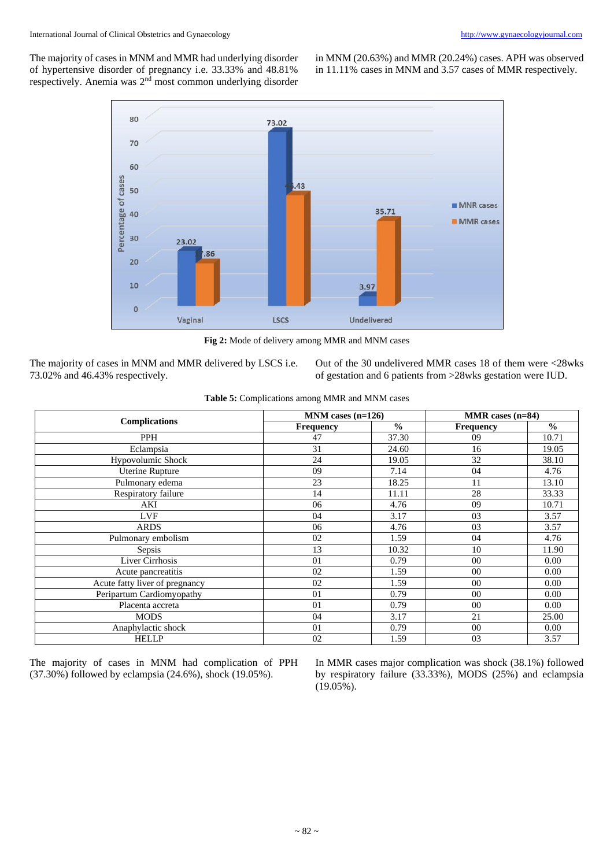The majority of cases in MNM and MMR had underlying disorder of hypertensive disorder of pregnancy i.e. 33.33% and 48.81% respectively. Anemia was 2nd most common underlying disorder in MNM (20.63%) and MMR (20.24%) cases. APH was observed in 11.11% cases in MNM and 3.57 cases of MMR respectively.



**Fig 2:** Mode of delivery among MMR and MNM cases

The majority of cases in MNM and MMR delivered by LSCS i.e. 73.02% and 46.43% respectively.

Out of the 30 undelivered MMR cases 18 of them were <28wks of gestation and 6 patients from >28wks gestation were IUD.

|                                | $MNM$ cases (n=126) |               | MMR cases $(n=84)$ |               |  |
|--------------------------------|---------------------|---------------|--------------------|---------------|--|
| <b>Complications</b>           | Frequency           | $\frac{0}{0}$ | <b>Frequency</b>   | $\frac{0}{0}$ |  |
| PPH                            | 47                  | 37.30         | 09                 | 10.71         |  |
| Eclampsia                      | 31                  | 24.60         | 16                 | 19.05         |  |
| Hypovolumic Shock              | 24                  | 19.05         | 32                 | 38.10         |  |
| <b>Uterine Rupture</b>         | 09                  | 7.14          | 04                 | 4.76          |  |
| Pulmonary edema                | 23                  | 18.25         | 11                 | 13.10         |  |
| Respiratory failure            | 14                  | 11.11         | 28                 | 33.33         |  |
| AKI                            | 06                  | 4.76          | 09                 | 10.71         |  |
| <b>LVF</b>                     | 04                  | 3.17          | 03                 | 3.57          |  |
| <b>ARDS</b>                    | 06                  | 4.76          | 03                 | 3.57          |  |
| Pulmonary embolism             | 02                  | 1.59          | 04                 | 4.76          |  |
| Sepsis                         | 13                  | 10.32         | 10                 | 11.90         |  |
| Liver Cirrhosis                | 01                  | 0.79          | 00                 | 0.00          |  |
| Acute pancreatitis             | 02                  | 1.59          | 00                 | 0.00          |  |
| Acute fatty liver of pregnancy | 02                  | 1.59          | $00\,$             | 0.00          |  |
| Peripartum Cardiomyopathy      | 01                  | 0.79          | 0 <sup>0</sup>     | 0.00          |  |
| Placenta accreta               | 01                  | 0.79          | 00                 | 0.00          |  |
| <b>MODS</b>                    | 04                  | 3.17          | 21                 | 25.00         |  |
| Anaphylactic shock             | 01                  | 0.79          | 00                 | 0.00          |  |
| <b>HELLP</b>                   | 02                  | 1.59          | 03                 | 3.57          |  |

The majority of cases in MNM had complication of PPH (37.30%) followed by eclampsia (24.6%), shock (19.05%).

In MMR cases major complication was shock (38.1%) followed by respiratory failure (33.33%), MODS (25%) and eclampsia (19.05%).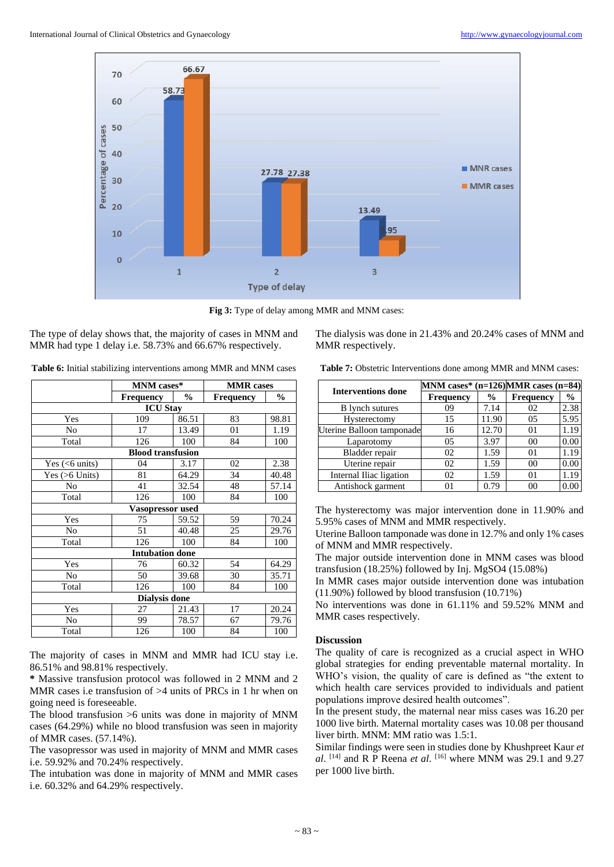

**Fig 3:** Type of delay among MMR and MNM cases:

The type of delay shows that, the majority of cases in MNM and MMR had type 1 delay i.e. 58.73% and 66.67% respectively.

The dialysis was done in 21.43% and 20.24% cases of MNM and MMR respectively.

**Table 6:** Initial stabilizing interventions among MMR and MNM cases

|                      | MNM cases*                        |       | <b>MMR</b> cases |               |  |  |  |  |
|----------------------|-----------------------------------|-------|------------------|---------------|--|--|--|--|
|                      | $\frac{6}{9}$<br><b>Frequency</b> |       | Frequency        | $\frac{0}{0}$ |  |  |  |  |
| <b>ICU Stay</b>      |                                   |       |                  |               |  |  |  |  |
| Yes                  | 109                               | 86.51 | 83               | 98.81         |  |  |  |  |
| No                   | 17                                | 13.49 | 01               | 1.19          |  |  |  |  |
| Total                | 126                               | 100   | 84               | 100           |  |  |  |  |
|                      | <b>Blood transfusion</b>          |       |                  |               |  |  |  |  |
| Yes $(<6$ units)     | 04                                | 3.17  | 02               | 2.38          |  |  |  |  |
| Yes $(>6$ Units)     | 81                                | 64.29 | 34               | 40.48         |  |  |  |  |
| No                   | 41                                | 32.54 | 48               | 57.14         |  |  |  |  |
| Total                | 126                               | 100   | 84               | 100           |  |  |  |  |
|                      | <b>Vasopressor used</b>           |       |                  |               |  |  |  |  |
| Yes                  | 75                                | 59.52 | 59               | 70.24         |  |  |  |  |
| N <sub>0</sub>       | 51                                | 40.48 | 25               | 29.76         |  |  |  |  |
| Total                | 126                               | 100   | 84               | 100           |  |  |  |  |
|                      | <b>Intubation done</b>            |       |                  |               |  |  |  |  |
| Yes                  | 76                                | 60.32 | 54               | 64.29         |  |  |  |  |
| No                   | 50                                | 39.68 | 30               | 35.71         |  |  |  |  |
| Total                | 126                               | 100   | 84               | 100           |  |  |  |  |
| <b>Dialysis done</b> |                                   |       |                  |               |  |  |  |  |
| Yes                  | 27                                | 21.43 | 17               | 20.24         |  |  |  |  |
| No                   | 99                                | 78.57 | 67               | 79.76         |  |  |  |  |
| Total                | 126                               | 100   | 84               | 100           |  |  |  |  |

The majority of cases in MNM and MMR had ICU stay i.e. 86.51% and 98.81% respectively.

**\*** Massive transfusion protocol was followed in 2 MNM and 2 MMR cases i.e transfusion of  $>4$  units of PRCs in 1 hr when on going need is foreseeable.

The blood transfusion >6 units was done in majority of MNM cases (64.29%) while no blood transfusion was seen in majority of MMR cases. (57.14%).

The vasopressor was used in majority of MNM and MMR cases i.e. 59.92% and 70.24% respectively.

The intubation was done in majority of MNM and MMR cases i.e. 60.32% and 64.29% respectively.

**Table 7:** Obstetric Interventions done among MMR and MNM cases:

|                           | MNM cases* $(n=126)$ MMR cases $(n=84)$ |               |                  |               |  |  |
|---------------------------|-----------------------------------------|---------------|------------------|---------------|--|--|
| <b>Interventions done</b> | <b>Frequency</b>                        | $\frac{6}{6}$ | <b>Frequency</b> | $\frac{0}{0}$ |  |  |
| <b>B</b> lynch sutures    | 09                                      | 7.14          | 02               | 2.38          |  |  |
| Hysterectomy              | 15                                      | 11.90         | 05               | 5.95          |  |  |
| Uterine Balloon tamponade | 16                                      | 12.70         | 0 <sub>1</sub>   | 1.19          |  |  |
| Laparotomy                | 05                                      | 3.97          | 0 <sup>0</sup>   | 0.00          |  |  |
| Bladder repair            | 02                                      | 1.59          | 01               | 1.19          |  |  |
| Uterine repair            | 02                                      | 1.59          | 0 <sup>0</sup>   | 0.00          |  |  |
| Internal Iliac ligation   | 02                                      | 1.59          | $\Omega$         | 1.19          |  |  |
| Antishock garment         |                                         | 0.79          | ററ               |               |  |  |

The hysterectomy was major intervention done in 11.90% and 5.95% cases of MNM and MMR respectively.

Uterine Balloon tamponade was done in 12.7% and only 1% cases of MNM and MMR respectively.

The major outside intervention done in MNM cases was blood transfusion (18.25%) followed by Inj. MgSO4 (15.08%)

In MMR cases major outside intervention done was intubation (11.90%) followed by blood transfusion (10.71%)

No interventions was done in 61.11% and 59.52% MNM and MMR cases respectively.

# **Discussion**

The quality of care is recognized as a crucial aspect in WHO global strategies for ending preventable maternal mortality. In WHO's vision, the quality of care is defined as "the extent to which health care services provided to individuals and patient populations improve desired health outcomes".

In the present study, the maternal near miss cases was 16.20 per 1000 live birth. Maternal mortality cases was 10.08 per thousand liver birth. MNM: MM ratio was 1.5:1.

Similar findings were seen in studies done by Khushpreet Kaur *et*   $al.$  [14] and R P Reena *et al.* [16] where MNM was 29.1 and 9.27 per 1000 live birth.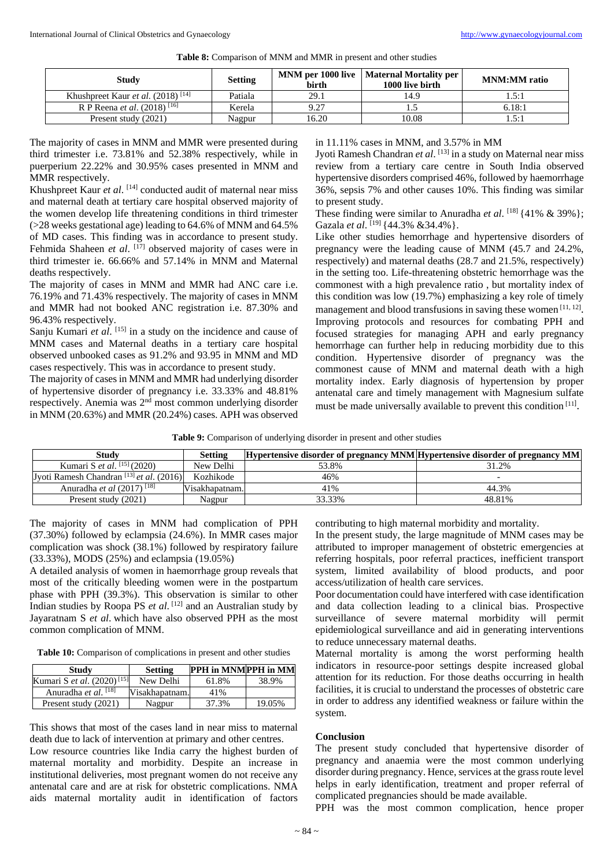| <b>Table 8:</b> Comparison of MNM and MMR in present and other studies |  |  |  |
|------------------------------------------------------------------------|--|--|--|
|------------------------------------------------------------------------|--|--|--|

| Study                                                | <b>Setting</b> | <b>birth</b> | MNM per 1000 live   Maternal Mortality per<br>1000 live birth | <b>MNM:MM</b> ratio |
|------------------------------------------------------|----------------|--------------|---------------------------------------------------------------|---------------------|
| Khushpreet Kaur <i>et al.</i> (2018) <sup>[14]</sup> | Patiala        | 29.1         | 14.9                                                          | 1.5:1               |
| R P Reena <i>et al.</i> (2018) <sup>[16]</sup>       | Kerela         | 9.27         |                                                               | 6.18:1              |
| Present study (2021)                                 | Nagpur         | 16.20        | 10.08                                                         | 5.1                 |

The majority of cases in MNM and MMR were presented during third trimester i.e. 73.81% and 52.38% respectively, while in puerperium 22.22% and 30.95% cases presented in MNM and MMR respectively.

Khushpreet Kaur et al.<sup>[14]</sup> conducted audit of maternal near miss and maternal death at tertiary care hospital observed majority of the women develop life threatening conditions in third trimester (>28 weeks gestational age) leading to 64.6% of MNM and 64.5% of MD cases. This finding was in accordance to present study. Fehmida Shaheen *et al.* <sup>[17]</sup> observed majority of cases were in third trimester ie. 66.66% and 57.14% in MNM and Maternal deaths respectively.

The majority of cases in MNM and MMR had ANC care i.e. 76.19% and 71.43% respectively. The majority of cases in MNM and MMR had not booked ANC registration i.e. 87.30% and 96.43% respectively.

Sanju Kumari et al. [15] in a study on the incidence and cause of MNM cases and Maternal deaths in a tertiary care hospital observed unbooked cases as 91.2% and 93.95 in MNM and MD cases respectively. This was in accordance to present study.

The majority of cases in MNM and MMR had underlying disorder of hypertensive disorder of pregnancy i.e. 33.33% and 48.81% respectively. Anemia was 2nd most common underlying disorder in MNM (20.63%) and MMR (20.24%) cases. APH was observed

#### in 11.11% cases in MNM, and 3.57% in MM

Jyoti Ramesh Chandran *et al*. [13] in a study on Maternal near miss review from a tertiary care centre in South India observed hypertensive disorders comprised 46%, followed by haemorrhage 36%, sepsis 7% and other causes 10%. This finding was similar to present study.

These finding were similar to Anuradha *et al*. [18] {41% & 39%}; Gazala *et al.* <sup>[19]</sup> {44.3% & 34.4% }.

Like other studies hemorrhage and hypertensive disorders of pregnancy were the leading cause of MNM (45.7 and 24.2%, respectively) and maternal deaths (28.7 and 21.5%, respectively) in the setting too. Life-threatening obstetric hemorrhage was the commonest with a high prevalence ratio , but mortality index of this condition was low (19.7%) emphasizing a key role of timely management and blood transfusions in saving these women [11, 12]. Improving protocols and resources for combating PPH and focused strategies for managing APH and early pregnancy hemorrhage can further help in reducing morbidity due to this condition. Hypertensive disorder of pregnancy was the commonest cause of MNM and maternal death with a high mortality index. Early diagnosis of hypertension by proper antenatal care and timely management with Magnesium sulfate must be made universally available to prevent this condition [11].

|  | Table 9: Comparison of underlying disorder in present and other studies |  |  |
|--|-------------------------------------------------------------------------|--|--|
|  |                                                                         |  |  |

| <b>Study</b>                                        | <b>Setting</b> | Hypertensive disorder of pregnancy MNM Hypertensive disorder of pregnancy MM |                          |
|-----------------------------------------------------|----------------|------------------------------------------------------------------------------|--------------------------|
| Kumari S <i>et al.</i> <sup>[15]</sup> (2020)       | New Delhi      | 53.8%                                                                        | 31.2%                    |
| Jyoti Ramesh Chandran <sup>[13]</sup> et al. (2016) | Kozhikode      | 46%                                                                          | $\overline{\phantom{0}}$ |
| Anuradha <i>et al</i> (2017) <sup>[18]</sup>        | Visakhapatnam. | 41%                                                                          | 44.3%                    |
| Present study (2021)                                | Nagpur         | 33.33%                                                                       | 48.81%                   |

The majority of cases in MNM had complication of PPH (37.30%) followed by eclampsia (24.6%). In MMR cases major complication was shock (38.1%) followed by respiratory failure (33.33%), MODS (25%) and eclampsia (19.05%)

A detailed analysis of women in haemorrhage group reveals that most of the critically bleeding women were in the postpartum phase with PPH (39.3%). This observation is similar to other Indian studies by Roopa PS *et al*. [12] and an Australian study by Jayaratnam S *et al*. which have also observed PPH as the most common complication of MNM.

**Table 10:** Comparison of complications in present and other studies

| Study                                  | <b>Setting</b> | PPH in MNMPPH in MM |        |
|----------------------------------------|----------------|---------------------|--------|
| Kumari S et al. (2020) <sup>[15]</sup> | New Delhi      | 61.8%               | 38.9%  |
| Anuradha et al. <sup>[18]</sup>        | Visakhapatnam. | 41%                 |        |
| Present study (2021)                   | Nagpur         | 37.3%               | 19.05% |

This shows that most of the cases land in near miss to maternal death due to lack of intervention at primary and other centres. Low resource countries like India carry the highest burden of maternal mortality and morbidity. Despite an increase in institutional deliveries, most pregnant women do not receive any antenatal care and are at risk for obstetric complications. NMA aids maternal mortality audit in identification of factors

contributing to high maternal morbidity and mortality.

In the present study, the large magnitude of MNM cases may be attributed to improper management of obstetric emergencies at referring hospitals, poor referral practices, inefficient transport system, limited availability of blood products, and poor access/utilization of health care services.

Poor documentation could have interfered with case identification and data collection leading to a clinical bias. Prospective surveillance of severe maternal morbidity will permit epidemiological surveillance and aid in generating interventions to reduce unnecessary maternal deaths.

Maternal mortality is among the worst performing health indicators in resource-poor settings despite increased global attention for its reduction. For those deaths occurring in health facilities, it is crucial to understand the processes of obstetric care in order to address any identified weakness or failure within the system.

# **Conclusion**

The present study concluded that hypertensive disorder of pregnancy and anaemia were the most common underlying disorder during pregnancy. Hence, services at the grass route level helps in early identification, treatment and proper referral of complicated pregnancies should be made available.

PPH was the most common complication, hence proper